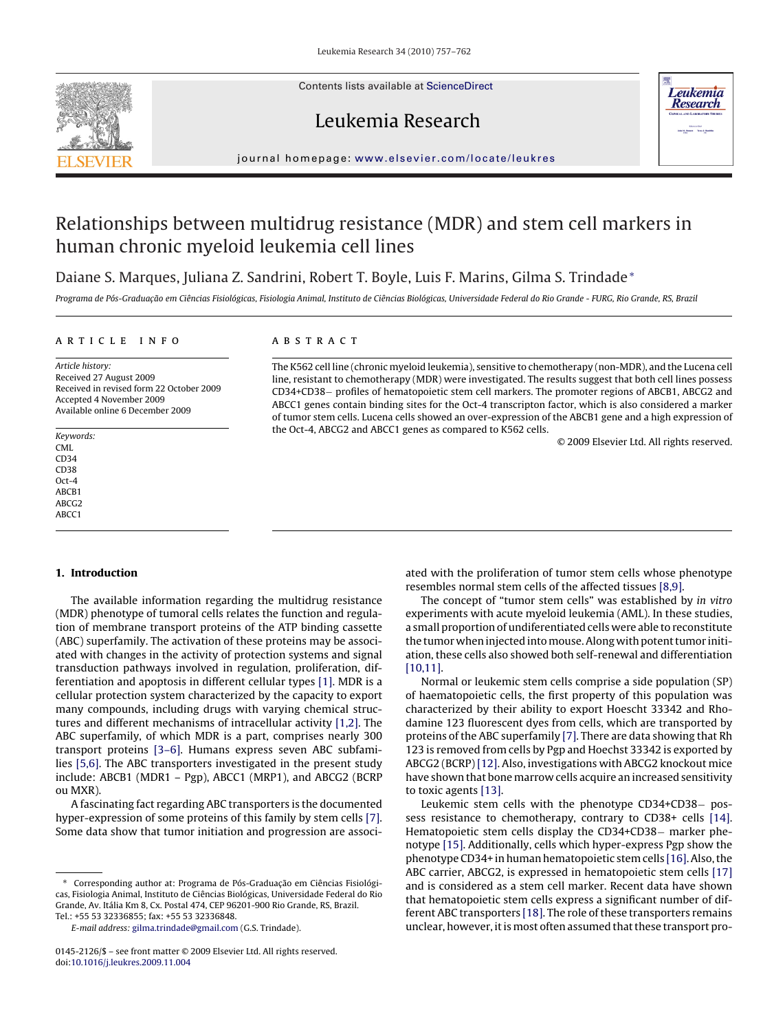Contents lists available at [ScienceDirect](http://www.sciencedirect.com/science/journal/01452126)





## Leukemia Research

journal homepage: [www.elsevier.com/locate/leukres](http://www.elsevier.com/locate/leukres)

# Relationships between multidrug resistance (MDR) and stem cell markers in human chronic myeloid leukemia cell lines

Daiane S. Marques, Juliana Z. Sandrini, Robert T. Boyle, Luis F. Marins, Gilma S. Trindade<sup>∗</sup>

Programa de Pós-Graduação em Ciências Fisiológicas, Fisiologia Animal, Instituto de Ciências Biológicas, Universidade Federal do Rio Grande - FURG, Rio Grande, RS, Brazil

## article info

Article history: Received 27 August 2009 Received in revised form 22 October 2009 Accepted 4 November 2009 Available online 6 December 2009

Keywords: CML  $CD34$ CD38 Oct-4 ABCB1 ABCG2 ABCC1

## **1. Introduction**

The available information regarding the multidrug resistance (MDR) phenotype of tumoral cells relates the function and regulation of membrane transport proteins of the ATP binding cassette (ABC) superfamily. The activation of these proteins may be associated with changes in the activity of protection systems and signal transduction pathways involved in regulation, proliferation, differentiation and apoptosis in different cellular types [\[1\]. M](#page-4-0)DR is a cellular protection system characterized by the capacity to export many compounds, including drugs with varying chemical structures and different mechanisms of intracellular activity [\[1,2\]. T](#page-4-0)he ABC superfamily, of which MDR is a part, comprises nearly 300 transport proteins [\[3–6\].](#page-4-0) Humans express seven ABC subfamilies [\[5,6\]. T](#page-4-0)he ABC transporters investigated in the present study include: ABCB1 (MDR1 – Pgp), ABCC1 (MRP1), and ABCG2 (BCRP ou MXR).

A fascinating fact regarding ABC transporters is the documented hyper-expression of some proteins of this family by stem cells [\[7\].](#page-4-0) Some data show that tumor initiation and progression are associ-

## **ABSTRACT**

The K562 cell line (chronic myeloid leukemia), sensitive to chemotherapy (non-MDR), and the Lucena cell line, resistant to chemotherapy (MDR) were investigated. The results suggest that both cell lines possess CD34+CD38− profiles of hematopoietic stem cell markers. The promoter regions of ABCB1, ABCG2 and ABCC1 genes contain binding sites for the Oct-4 transcripton factor, which is also considered a marker of tumor stem cells. Lucena cells showed an over-expression of the ABCB1 gene and a high expression of the Oct-4, ABCG2 and ABCC1 genes as compared to K562 cells.

© 2009 Elsevier Ltd. All rights reserved.

ated with the proliferation of tumor stem cells whose phenotype resembles normal stem cells of the affected tissues [\[8,9\].](#page-4-0)

The concept of "tumor stem cells" was established by in vitro experiments with acute myeloid leukemia (AML). In these studies, a small proportion of undiferentiated cells were able to reconstitute the tumor when injected intomouse. Along with potent tumor initiation, these cells also showed both self-renewal and differentiation [\[10,11\].](#page-4-0)

Normal or leukemic stem cells comprise a side population (SP) of haematopoietic cells, the first property of this population was characterized by their ability to export Hoescht 33342 and Rhodamine 123 fluorescent dyes from cells, which are transported by proteins of the ABC superfamily [\[7\]. T](#page-4-0)here are data showing that Rh 123 is removed from cells by Pgp and Hoechst 33342 is exported by ABCG2 (BCRP) [\[12\]. A](#page-4-0)lso, investigations with ABCG2 knockout mice have shown that bone marrow cells acquire an increased sensitivity to toxic agents [\[13\].](#page-4-0)

Leukemic stem cells with the phenotype CD34+CD38− possess resistance to chemotherapy, contrary to CD38+ cells [\[14\].](#page-4-0) Hematopoietic stem cells display the CD34+CD38− marker phenotype [\[15\]. A](#page-4-0)dditionally, cells which hyper-express Pgp show the phenotype CD34+ in human hematopoietic stem cells [\[16\]. A](#page-4-0)lso, the ABC carrier, ABCG2, is expressed in hematopoietic stem cells [\[17\]](#page-4-0) and is considered as a stem cell marker. Recent data have shown that hematopoietic stem cells express a significant number of different ABC transporters [\[18\]. T](#page-4-0)he role of these transporters remains unclear, however, it is most often assumed that these transport pro-

<sup>∗</sup> Corresponding author at: Programa de Pós-Graduac¸ ão em Ciências Fisiológicas, Fisiologia Animal, Instituto de Ciências Biológicas, Universidade Federal do Rio Grande, Av. Itália Km 8, Cx. Postal 474, CEP 96201-900 Rio Grande, RS, Brazil. Tel.: +55 53 32336855; fax: +55 53 32336848.

E-mail address: [gilma.trindade@gmail.com](mailto:gilma.trindade@gmail.com) (G.S. Trindade).

<sup>0145-2126/\$ –</sup> see front matter © 2009 Elsevier Ltd. All rights reserved. doi:[10.1016/j.leukres.2009.11.004](dx.doi.org/10.1016/j.leukres.2009.11.004)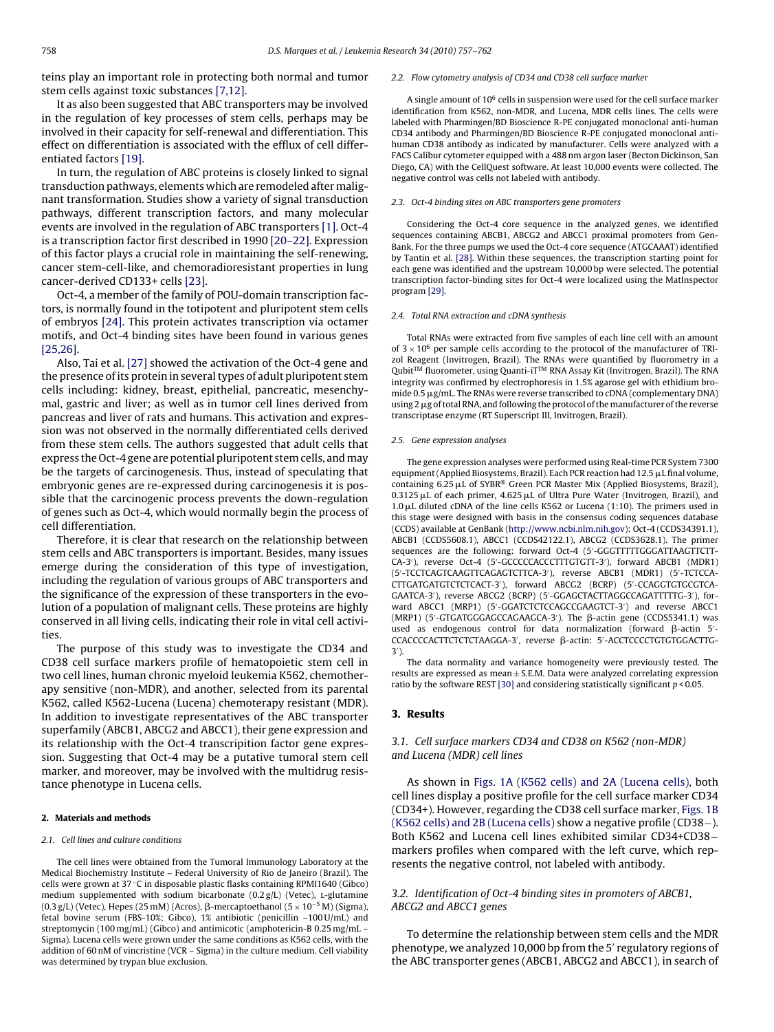teins play an important role in protecting both normal and tumor stem cells against toxic substances [\[7,12\].](#page-4-0)

It as also been suggested that ABC transporters may be involved in the regulation of key processes of stem cells, perhaps may be involved in their capacity for self-renewal and differentiation. This effect on differentiation is associated with the efflux of cell differentiated factors [\[19\].](#page-4-0)

In turn, the regulation of ABC proteins is closely linked to signal transduction pathways, elements which are remodeled after malignant transformation. Studies show a variety of signal transduction pathways, different transcription factors, and many molecular events are involved in the regulation of ABC transporters [\[1\]. O](#page-4-0)ct-4 is a transcription factor first described in 1990 [\[20–22\]. E](#page-4-0)xpression of this factor plays a crucial role in maintaining the self-renewing, cancer stem-cell-like, and chemoradioresistant properties in lung cancer-derived CD133+ cells [\[23\].](#page-4-0)

Oct-4, a member of the family of POU-domain transcription factors, is normally found in the totipotent and pluripotent stem cells of embryos [\[24\]. T](#page-4-0)his protein activates transcription via octamer motifs, and Oct-4 binding sites have been found in various genes [\[25,26\].](#page-4-0)

Also, Tai et al. [\[27\]](#page-4-0) showed the activation of the Oct-4 gene and the presence of its protein in several types of adult pluripotent stem cells including: kidney, breast, epithelial, pancreatic, mesenchymal, gastric and liver; as well as in tumor cell lines derived from pancreas and liver of rats and humans. This activation and expression was not observed in the normally differentiated cells derived from these stem cells. The authors suggested that adult cells that express the Oct-4 gene are potential pluripotent stem cells, andmay be the targets of carcinogenesis. Thus, instead of speculating that embryonic genes are re-expressed during carcinogenesis it is possible that the carcinogenic process prevents the down-regulation of genes such as Oct-4, which would normally begin the process of cell differentiation.

Therefore, it is clear that research on the relationship between stem cells and ABC transporters is important. Besides, many issues emerge during the consideration of this type of investigation, including the regulation of various groups of ABC transporters and the significance of the expression of these transporters in the evolution of a population of malignant cells. These proteins are highly conserved in all living cells, indicating their role in vital cell activities.

The purpose of this study was to investigate the CD34 and CD38 cell surface markers profile of hematopoietic stem cell in two cell lines, human chronic myeloid leukemia K562, chemotherapy sensitive (non-MDR), and another, selected from its parental K562, called K562-Lucena (Lucena) chemoterapy resistant (MDR). In addition to investigate representatives of the ABC transporter superfamily (ABCB1, ABCG2 and ABCC1), their gene expression and its relationship with the Oct-4 transcripition factor gene expression. Suggesting that Oct-4 may be a putative tumoral stem cell marker, and moreover, may be involved with the multidrug resistance phenotype in Lucena cells.

#### **2. Materials and methods**

#### 2.1. Cell lines and culture conditions

The cell lines were obtained from the Tumoral Immunology Laboratory at the Medical Biochemistry Institute – Federal University of Rio de Janeiro (Brazil). The cells were grown at 37 ◦C in disposable plastic flasks containing RPMI1640 (Gibco) medium supplemented with sodium bicarbonate  $(0.2 g/L)$  (Vetec), L-glutamine (0.3 g/L) (Vetec), Hepes (25 mM) (Acros), β-mercaptoethanol (5  $\times$  10<sup>-5</sup> M) (Sigma), fetal bovine serum (FBS-10%; Gibco), 1% antibiotic (penicillin –100 U/mL) and streptomycin (100 mg/mL) (Gibco) and antimicotic (amphotericin-B 0.25 mg/mL – Sigma). Lucena cells were grown under the same conditions as K562 cells, with the addition of 60 nM of vincristine (VCR – Sigma) in the culture medium. Cell viability was determined by trypan blue exclusion.

#### 2.2. Flow cytometry analysis of CD34 and CD38 cell surface marker

A single amount of  $10^6$  cells in suspension were used for the cell surface marker identification from K562, non-MDR, and Lucena, MDR cells lines. The cells were labeled with Pharmingen/BD Bioscience R-PE conjugated monoclonal anti-human CD34 antibody and Pharmingen/BD Bioscience R-PE conjugated monoclonal antihuman CD38 antibody as indicated by manufacturer. Cells were analyzed with a FACS Calibur cytometer equipped with a 488 nm argon laser (Becton Dickinson, San Diego, CA) with the CellQuest software. At least 10,000 events were collected. The negative control was cells not labeled with antibody.

#### 2.3. Oct-4 binding sites on ABC transporters gene promoters

Considering the Oct-4 core sequence in the analyzed genes, we identified sequences containing ABCB1, ABCG2 and ABCC1 proximal promoters from Gen-Bank. For the three pumps we used the Oct-4 core sequence (ATGCAAAT) identified by Tantin et al. [\[28\]. W](#page-4-0)ithin these sequences, the transcription starting point for each gene was identified and the upstream 10,000 bp were selected. The potential transcription factor-binding sites for Oct-4 were localized using the MatInspector program [\[29\].](#page-4-0)

#### 2.4. Total RNA extraction and cDNA synthesis

Total RNAs were extracted from five samples of each line cell with an amount of  $3 \times 10^6$  per sample cells according to the protocol of the manufacturer of TRIzol Reagent (Invitrogen, Brazil). The RNAs were quantified by fluorometry in a Qubit™ fluorometer, using Quanti-iT™ RNA Assay Kit (Invitrogen, Brazil). The RNA integrity was confirmed by electrophoresis in 1.5% agarose gel with ethidium bromide 0.5  $\mu$ g/mL. The RNAs were reverse transcribed to cDNA (complementary DNA) using 2 µg of total RNA, and following the protocol of the manufacturer of the reverse transcriptase enzyme (RT Superscript III, Invitrogen, Brazil).

#### 2.5. Gene expression analyses

The gene expression analyses were performed using Real-time PCR System 7300 equipment (Applied Biosystems, Brazil). Each PCR reaction had 12.5 µL final volume, containing  $6.25 \mu L$  of SYBR® Green PCR Master Mix (Applied Biosystems, Brazil),  $0.3125 \,\mu L$  of each primer,  $4.625 \,\mu L$  of Ultra Pure Water (Invitrogen, Brazil), and  $1.0 \mu L$  diluted cDNA of the line cells K562 or Lucena (1:10). The primers used in this stage were designed with basis in the consensus coding sequences database (CCDS) available at GenBank ([http://www.ncbi.nlm.nih.gov\)](http://www.ncbi.nlm.nih.gov/): Oct-4 (CCDS34391.1), ABCB1 (CCDS5608.1), ABCC1 (CCDS42122.1), ABCG2 (CCDS3628.1). The primer sequences are the following: forward Oct-4 (5 -GGGTTTTTGGGATTAAGTTCTT-CA-3 ), reverse Oct-4 (5 -GCCCCCACCCTTTGTGTT-3 ), forward ABCB1 (MDR1) (5 -TCCTCAGTCAAGTTCAGAGTCTTCA-3 ), reverse ABCB1 (MDR1) (5 -TCTCCA-CTTGATGATGTCTCTCACT-3 ), forward ABCG2 (BCRP) (5 -CCAGGTGTGCGTCA-GAATCA-3 ), reverse ABCG2 (BCRP) (5 -GGAGCTACTTAGGCCAGATTTTTG-3 ), forward ABCC1 (MRP1) (5 -GGATCTCTCCAGCCGAAGTCT-3 ) and reverse ABCC1 (MRP1) (5'-GTGATGGGAGCCAGAAGCA-3'). The β-actin gene (CCDS5341.1) was used as endogenous control for data normalization (forward  $\beta$ -actin 5'-CCACCCCACTTCTCTCTAAGGA-3', reverse β-actin: 5'-ACCTCCCCTGTGTGGACTTG-3 ).

The data normality and variance homogeneity were previously tested. The results are expressed as mean  $\pm$  S.E.M. Data were analyzed correlating expression ratio by the software REST [\[30\]](#page-4-0) and considering statistically significant  $p < 0.05$ .

#### **3. Results**

## 3.1. Cell surface markers CD34 and CD38 on K562 (non-MDR) and Lucena (MDR) cell lines

As shown in [Figs. 1A \(K562 cells\) and 2A \(Lucena cells\),](#page-2-0) both cell lines display a positive profile for the cell surface marker CD34 (CD34+). However, regarding the CD38 cell surface marker, [Figs. 1B](#page-2-0) [\(K562 cells\) and 2B \(Lucena cells\)](#page-2-0) show a negative profile (CD38−). Both K562 and Lucena cell lines exhibited similar CD34+CD38− markers profiles when compared with the left curve, which represents the negative control, not labeled with antibody.

## 3.2. Identification of Oct-4 binding sites in promoters of ABCB1, ABCG2 and ABCC1 genes

To determine the relationship between stem cells and the MDR phenotype, we analyzed 10,000 bp from the 5' regulatory regions of the ABC transporter genes (ABCB1, ABCG2 and ABCC1), in search of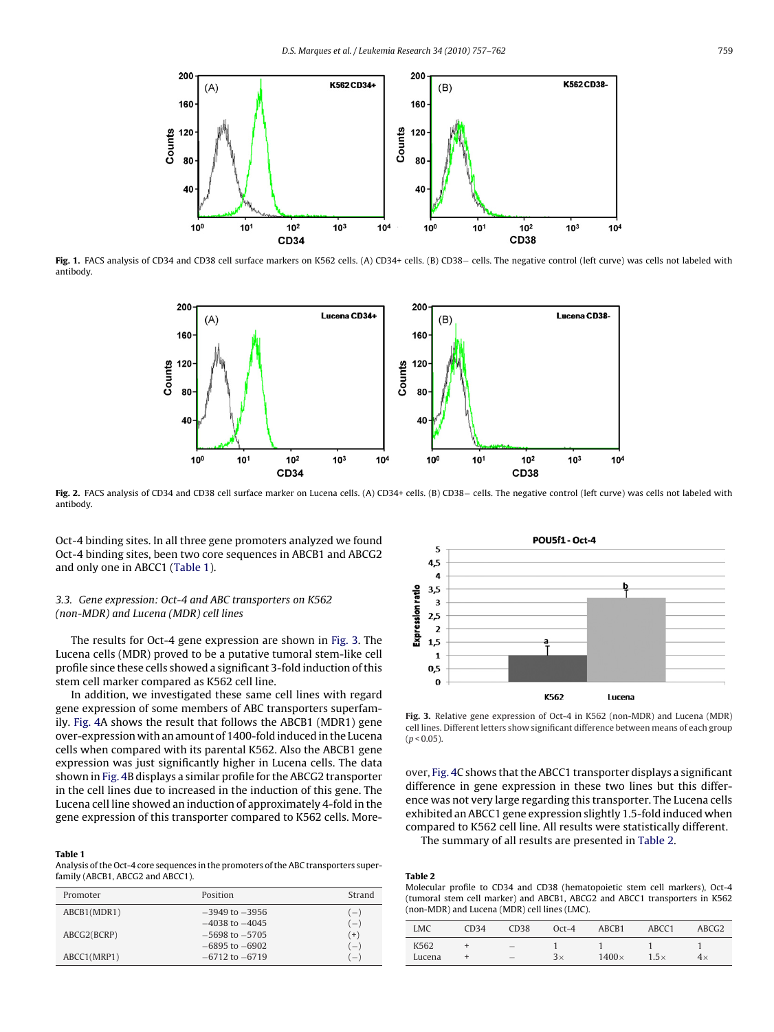<span id="page-2-0"></span>

**Fig. 1.** FACS analysis of CD34 and CD38 cell surface markers on K562 cells. (A) CD34+ cells. (B) CD38− cells. The negative control (left curve) was cells not labeled with antibody.



**Fig. 2.** FACS analysis of CD34 and CD38 cell surface marker on Lucena cells. (A) CD34+ cells. (B) CD38− cells. The negative control (left curve) was cells not labeled with antibody.

Oct-4 binding sites. In all three gene promoters analyzed we found Oct-4 binding sites, been two core sequences in ABCB1 and ABCG2 and only one in ABCC1 (Table 1).

## 3.3. Gene expression: Oct-4 and ABC transporters on K562 (non-MDR) and Lucena (MDR) cell lines

The results for Oct-4 gene expression are shown in Fig. 3. The Lucena cells (MDR) proved to be a putative tumoral stem-like cell profile since these cells showed a significant 3-fold induction of this stem cell marker compared as K562 cell line.

In addition, we investigated these same cell lines with regard gene expression of some members of ABC transporters superfamily. [Fig. 4A](#page-3-0) shows the result that follows the ABCB1 (MDR1) gene over-expression with an amount of 1400-fold induced in the Lucena cells when compared with its parental K562. Also the ABCB1 gene expression was just significantly higher in Lucena cells. The data shown in [Fig. 4B](#page-3-0) displays a similar profile for the ABCG2 transporter in the cell lines due to increased in the induction of this gene. The Lucena cell line showed an induction of approximately 4-fold in the gene expression of this transporter compared to K562 cells. More-

#### **Table 1**

Analysis of the Oct-4 core sequences in the promoters of the ABC transporters superfamily (ABCB1, ABCG2 and ABCC1).

| Promoter    | Position           | Strand |
|-------------|--------------------|--------|
| ABCB1(MDR1) | $-3949$ to $-3956$ | $(-)$  |
|             | $-4038$ to $-4045$ | $(-)$  |
| ABCG2(BCRP) | $-5698$ to $-5705$ | $(+)$  |
|             | $-6895$ to $-6902$ | $(-)$  |
| ABCC1(MRP1) | $-6712$ to $-6719$ | $(-)$  |



**Fig. 3.** Relative gene expression of Oct-4 in K562 (non-MDR) and Lucena (MDR) cell lines. Different letters show significant difference between means of each group  $(p < 0.05)$ .

over, [Fig. 4C](#page-3-0) shows that the ABCC1 transporter displays a significant difference in gene expression in these two lines but this difference was not very large regarding this transporter. The Lucena cells exhibited an ABCC1 gene expression slightly 1.5-fold induced when compared to K562 cell line. All results were statistically different.

The summary of all results are presented in Table 2.

## **Table 2**

Molecular profile to CD34 and CD38 (hematopoietic stem cell markers), Oct-4 (tumoral stem cell marker) and ABCB1, ABCG2 and ABCC1 transporters in K562 (non-MDR) and Lucena (MDR) cell lines (LMC).

| LMC            | CD34 | CD38 | $Oct-4$ | ABCB1        | ABCC1       | ABCG <sub>2</sub> |
|----------------|------|------|---------|--------------|-------------|-------------------|
| K562<br>Lucena |      |      | 3x      | $1400\times$ | $1.5\times$ | $4\times$         |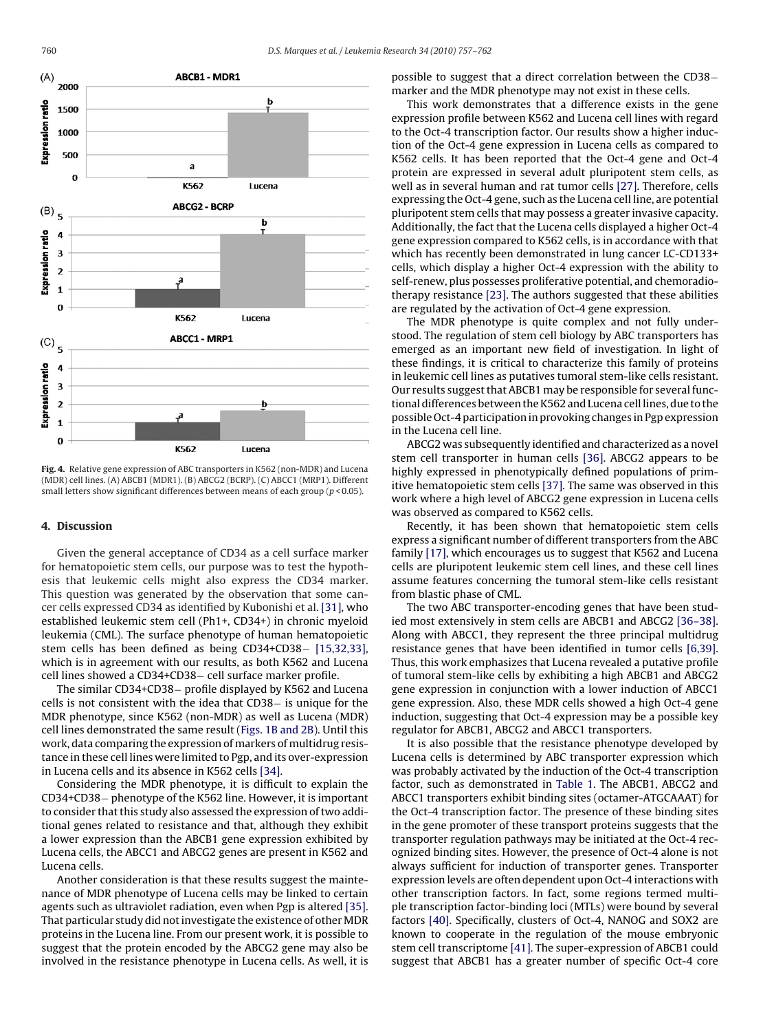<span id="page-3-0"></span>

**Fig. 4.** Relative gene expression of ABC transporters in K562 (non-MDR) and Lucena (MDR) cell lines. (A) ABCB1 (MDR1). (B) ABCG2 (BCRP). (C) ABCC1 (MRP1). Different small letters show significant differences between means of each group ( $p < 0.05$ ).

## **4. Discussion**

Given the general acceptance of CD34 as a cell surface marker for hematopoietic stem cells, our purpose was to test the hypothesis that leukemic cells might also express the CD34 marker. This question was generated by the observation that some cancer cells expressed CD34 as identified by Kubonishi et al. [\[31\], w](#page-4-0)ho established leukemic stem cell (Ph1+, CD34+) in chronic myeloid leukemia (CML). The surface phenotype of human hematopoietic stem cells has been defined as being CD34+CD38− [\[15,32,33\],](#page-4-0) which is in agreement with our results, as both K562 and Lucena cell lines showed a CD34+CD38− cell surface marker profile.

The similar CD34+CD38− profile displayed by K562 and Lucena cells is not consistent with the idea that CD38− is unique for the MDR phenotype, since K562 (non-MDR) as well as Lucena (MDR) cell lines demonstrated the same result [\(Figs. 1B and 2B\).](#page-2-0) Until this work, data comparing the expression of markers of multidrug resistance in these cell lines were limited to Pgp, and its over-expression in Lucena cells and its absence in K562 cells [\[34\].](#page-4-0)

Considering the MDR phenotype, it is difficult to explain the CD34+CD38− phenotype of the K562 line. However, it is important to consider that this study also assessed the expression of two additional genes related to resistance and that, although they exhibit a lower expression than the ABCB1 gene expression exhibited by Lucena cells, the ABCC1 and ABCG2 genes are present in K562 and Lucena cells.

Another consideration is that these results suggest the maintenance of MDR phenotype of Lucena cells may be linked to certain agents such as ultraviolet radiation, even when Pgp is altered [\[35\].](#page-4-0) That particular study did not investigate the existence of other MDR proteins in the Lucena line. From our present work, it is possible to suggest that the protein encoded by the ABCG2 gene may also be involved in the resistance phenotype in Lucena cells. As well, it is possible to suggest that a direct correlation between the CD38− marker and the MDR phenotype may not exist in these cells.

This work demonstrates that a difference exists in the gene expression profile between K562 and Lucena cell lines with regard to the Oct-4 transcription factor. Our results show a higher induction of the Oct-4 gene expression in Lucena cells as compared to K562 cells. It has been reported that the Oct-4 gene and Oct-4 protein are expressed in several adult pluripotent stem cells, as well as in several human and rat tumor cells [\[27\]. T](#page-4-0)herefore, cells expressing the Oct-4 gene, such as the Lucena cell line, are potential pluripotent stem cells that may possess a greater invasive capacity. Additionally, the fact that the Lucena cells displayed a higher Oct-4 gene expression compared to K562 cells, is in accordance with that which has recently been demonstrated in lung cancer LC-CD133+ cells, which display a higher Oct-4 expression with the ability to self-renew, plus possesses proliferative potential, and chemoradiotherapy resistance [\[23\]. T](#page-4-0)he authors suggested that these abilities are regulated by the activation of Oct-4 gene expression.

The MDR phenotype is quite complex and not fully understood. The regulation of stem cell biology by ABC transporters has emerged as an important new field of investigation. In light of these findings, it is critical to characterize this family of proteins in leukemic cell lines as putatives tumoral stem-like cells resistant. Our results suggest that ABCB1 may be responsible for several functional differences between the K562 and Lucena cell lines, due to the possible Oct-4 participation in provoking changes in Pgp expression in the Lucena cell line.

ABCG2 was subsequently identified and characterized as a novel stem cell transporter in human cells [\[36\].](#page-4-0) ABCG2 appears to be highly expressed in phenotypically defined populations of primitive hematopoietic stem cells [\[37\]. T](#page-5-0)he same was observed in this work where a high level of ABCG2 gene expression in Lucena cells was observed as compared to K562 cells.

Recently, it has been shown that hematopoietic stem cells express a significant number of different transporters from the ABC family [\[17\], w](#page-4-0)hich encourages us to suggest that K562 and Lucena cells are pluripotent leukemic stem cell lines, and these cell lines assume features concerning the tumoral stem-like cells resistant from blastic phase of CML.

The two ABC transporter-encoding genes that have been studied most extensively in stem cells are ABCB1 and ABCG2 [\[36–38\].](#page-4-0) Along with ABCC1, they represent the three principal multidrug resistance genes that have been identified in tumor cells [\[6,39\].](#page-4-0) Thus, this work emphasizes that Lucena revealed a putative profile of tumoral stem-like cells by exhibiting a high ABCB1 and ABCG2 gene expression in conjunction with a lower induction of ABCC1 gene expression. Also, these MDR cells showed a high Oct-4 gene induction, suggesting that Oct-4 expression may be a possible key regulator for ABCB1, ABCG2 and ABCC1 transporters.

It is also possible that the resistance phenotype developed by Lucena cells is determined by ABC transporter expression which was probably activated by the induction of the Oct-4 transcription factor, such as demonstrated in [Table 1.](#page-2-0) The ABCB1, ABCG2 and ABCC1 transporters exhibit binding sites (octamer-ATGCAAAT) for the Oct-4 transcription factor. The presence of these binding sites in the gene promoter of these transport proteins suggests that the transporter regulation pathways may be initiated at the Oct-4 recognized binding sites. However, the presence of Oct-4 alone is not always sufficient for induction of transporter genes. Transporter expression levels are often dependent upon Oct-4 interactions with other transcription factors. In fact, some regions termed multiple transcription factor-binding loci (MTLs) were bound by several factors [\[40\]. S](#page-5-0)pecifically, clusters of Oct-4, NANOG and SOX2 are known to cooperate in the regulation of the mouse embryonic stem cell transcriptome [\[41\]. T](#page-5-0)he super-expression of ABCB1 could suggest that ABCB1 has a greater number of specific Oct-4 core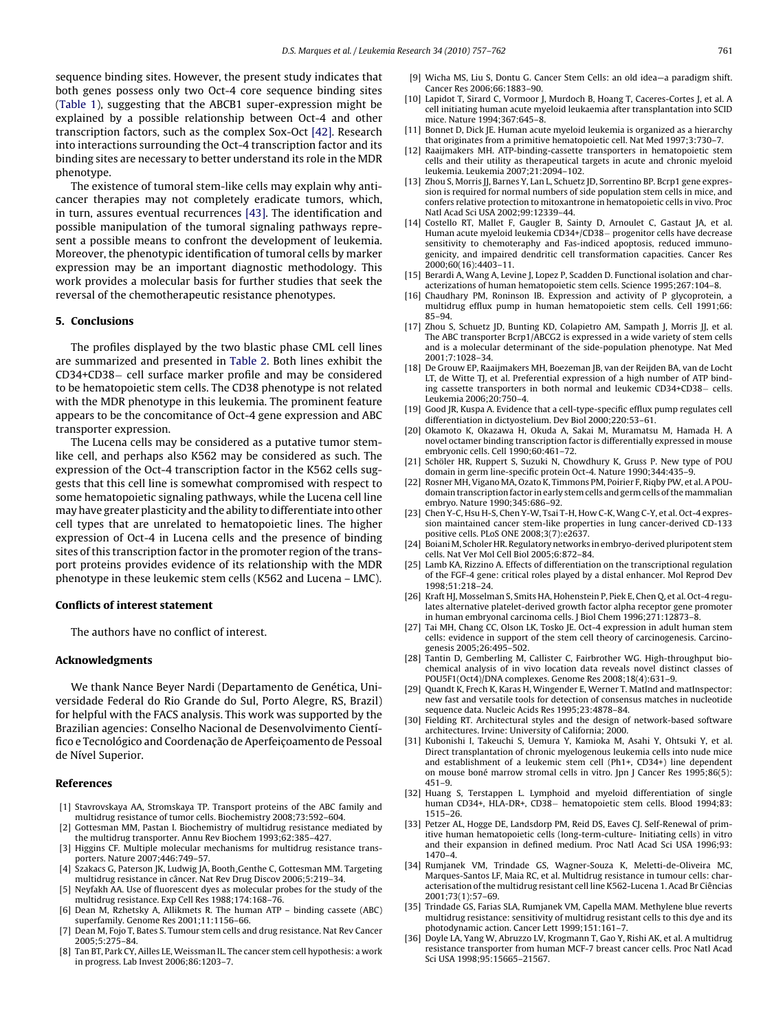<span id="page-4-0"></span>sequence binding sites. However, the present study indicates that both genes possess only two Oct-4 core sequence binding sites ([Table 1\),](#page-2-0) suggesting that the ABCB1 super-expression might be explained by a possible relationship between Oct-4 and other transcription factors, such as the complex Sox-Oct [\[42\].](#page-5-0) Research into interactions surrounding the Oct-4 transcription factor and its binding sites are necessary to better understand its role in the MDR phenotype.

The existence of tumoral stem-like cells may explain why anticancer therapies may not completely eradicate tumors, which, in turn, assures eventual recurrences [\[43\].](#page-5-0) The identification and possible manipulation of the tumoral signaling pathways represent a possible means to confront the development of leukemia. Moreover, the phenotypic identification of tumoral cells by marker expression may be an important diagnostic methodology. This work provides a molecular basis for further studies that seek the reversal of the chemotherapeutic resistance phenotypes.

#### **5. Conclusions**

The profiles displayed by the two blastic phase CML cell lines are summarized and presented in [Table 2.](#page-2-0) Both lines exhibit the CD34+CD38− cell surface marker profile and may be considered to be hematopoietic stem cells. The CD38 phenotype is not related with the MDR phenotype in this leukemia. The prominent feature appears to be the concomitance of Oct-4 gene expression and ABC transporter expression.

The Lucena cells may be considered as a putative tumor stemlike cell, and perhaps also K562 may be considered as such. The expression of the Oct-4 transcription factor in the K562 cells suggests that this cell line is somewhat compromised with respect to some hematopoietic signaling pathways, while the Lucena cell line may have greater plasticity and the ability to differentiate into other cell types that are unrelated to hematopoietic lines. The higher expression of Oct-4 in Lucena cells and the presence of binding sites of this transcription factor in the promoter region of the transport proteins provides evidence of its relationship with the MDR phenotype in these leukemic stem cells (K562 and Lucena – LMC).

## **Conflicts of interest statement**

The authors have no conflict of interest.

#### **Acknowledgments**

We thank Nance Beyer Nardi (Departamento de Genética, Universidade Federal do Rio Grande do Sul, Porto Alegre, RS, Brazil) for helpful with the FACS analysis. This work was supported by the Brazilian agencies: Conselho Nacional de Desenvolvimento Científico e Tecnológico and Coordenação de Aperfeicoamento de Pessoal de Nível Superior.

### **References**

- [1] Stavrovskaya AA, Stromskaya TP. Transport proteins of the ABC family and multidrug resistance of tumor cells. Biochemistry 2008;73:592–604.
- [2] Gottesman MM, Pastan I. Biochemistry of multidrug resistance mediated by the multidrug transporter. Annu Rev Biochem 1993;62:385–427.
- [3] Higgins CF. Multiple molecular mechanisms for multidrug resistance transporters. Nature 2007;446:749–57.
- [4] Szakacs G, Paterson JK, Ludwig JA, Booth Genthe C, Gottesman MM. Targeting multidrug resistance in câncer. Nat Rev Drug Discov 2006;5:219–34.
- [5] Neyfakh AA. Use of fluorescent dyes as molecular probes for the study of the multidrug resistance. Exp Cell Res 1988;174:168–76.
- [6] Dean M, Rzhetsky A, Allikmets R. The human ATP binding cassete (ABC) superfamily. Genome Res 2001;11:1156–66.
- [7] Dean M, Fojo T, Bates S. Tumour stem cells and drug resistance. Nat Rev Cancer  $2005:5:275-84$
- [8] Tan BT, Park CY, Ailles LE, Weissman IL. The cancer stem cell hypothesis: a work in progress. Lab Invest 2006;86:1203–7.
- [9] Wicha MS, Liu S, Dontu G. Cancer Stem Cells: an old idea—a paradigm shift. Cancer Res 2006;66:1883–90.
- [10] Lapidot T, Sirard C, Vormoor J, Murdoch B, Hoang T, Caceres-Cortes J, et al. A cell initiating human acute myeloid leukaemia after transplantation into SCID mice. Nature 1994;367:645–8.
- [11] Bonnet D, Dick JE. Human acute myeloid leukemia is organized as a hierarchy that originates from a primitive hematopoietic cell. Nat Med 1997;3:730–7.
- [12] Raaijmakers MH. ATP-binding-cassette transporters in hematopoietic stem cells and their utility as therapeutical targets in acute and chronic myeloid leukemia. Leukemia 2007;21:2094–102.
- [13] Zhou S, Morris JJ, Barnes Y, Lan L, Schuetz JD, Sorrentino BP. Bcrp1 gene expression is required for normal numbers of side population stem cells in mice, and confers relative protection to mitoxantrone in hematopoietic cells in vivo. Proc Natl Acad Sci USA 2002;99:12339–44.
- [14] Costello RT, Mallet F, Gaugler B, Sainty D, Arnoulet C, Gastaut JA, et al. Human acute myeloid leukemia CD34+/CD38− progenitor cells have decrease sensitivity to chemoteraphy and Fas-indiced apoptosis, reduced immunogenicity, and impaired dendritic cell transformation capacities. Cancer Res 2000;60(16):4403–11.
- [15] Berardi A, Wang A, Levine J, Lopez P, Scadden D. Functional isolation and characterizations of human hematopoietic stem cells. Science 1995;267:104–8.
- [16] Chaudhary PM, Roninson IB. Expression and activity of P glycoprotein, a multidrug efflux pump in human hematopoietic stem cells. Cell 1991;66: 85–94.
- [17] Zhou S, Schuetz JD, Bunting KD, Colapietro AM, Sampath J, Morris JJ, et al. The ABC transporter Bcrp1/ABCG2 is expressed in a wide variety of stem cells and is a molecular determinant of the side-population phenotype. Nat Med 2001;7:1028–34.
- [18] De Grouw EP, Raaijmakers MH, Boezeman JB, van der Reijden BA, van de Locht LT, de Witte TJ, et al. Preferential expression of a high number of ATP binding cassette transporters in both normal and leukemic CD34+CD38− cells. Leukemia 2006;20:750–4.
- [19] Good JR, Kuspa A. Evidence that a cell-type-specific efflux pump regulates cell differentiation in dictyostelium. Dev Biol 2000;220:53–61.
- [20] Okamoto K, Okazawa H, Okuda A, Sakai M, Muramatsu M, Hamada H. A novel octamer binding transcription factor is differentially expressed in mouse embryonic cells. Cell 1990;60:461–72.
- [21] Schöler HR, Ruppert S, Suzuki N, Chowdhury K, Gruss P. New type of POU domain in germ line-specific protein Oct-4. Nature 1990;344:435–9.
- [22] Rosner MH, Vigano MA, Ozato K, Timmons PM, Poirier F, Riqby PW, et al. A POUdomain transcription factor in early stem cells and germ cells of themammalian embryo. Nature 1990;345:686–92.
- [23] Chen Y-C, Hsu H-S, Chen Y-W, Tsai T-H, How C-K, Wang C-Y, et al. Oct-4 expression maintained cancer stem-like properties in lung cancer-derived CD-133 positive cells. PLoS ONE 2008;3(7):e2637.
- [24] BoianiM, Scholer HR. Regulatory networks in embryo-derived pluripotent stem cells. Nat Ver Mol Cell Biol 2005;6:872–84.
- [25] Lamb KA, Rizzino A. Effects of differentiation on the transcriptional regulation of the FGF-4 gene: critical roles played by a distal enhancer. Mol Reprod Dev 1998;51:218–24.
- [26] Kraft HJ, Mosselman S, Smits HA, Hohenstein P, Piek E, Chen Q, et al. Oct-4 regulates alternative platelet-derived growth factor alpha receptor gene promoter in human embryonal carcinoma cells. J Biol Chem 1996;271:12873–8.
- [27] Tai MH, Chang CC, Olson LK, Tosko JE. Oct-4 expression in adult human stem cells: evidence in support of the stem cell theory of carcinogenesis. Carcinogenesis 2005;26:495–502.
- [28] Tantin D, Gemberling M, Callister C, Fairbrother WG. High-throughput biochemical analysis of in vivo location data reveals novel distinct classes of POU5F1(Oct4)/DNA complexes. Genome Res 2008;18(4):631–9.
- [29] Quandt K, Frech K, Karas H, Wingender E, Werner T. MatInd and matInspector: new fast and versatile tools for detection of consensus matches in nucleotide sequence data. Nucleic Acids Res 1995;23:4878–84.
- [30] Fielding RT. Architectural styles and the design of network-based software architectures. Irvine: University of California; 2000.
- [31] Kubonishi I, Takeuchi S, Uemura Y, Kamioka M, Asahi Y, Ohtsuki Y, et al. Direct transplantation of chronic myelogenous leukemia cells into nude mice and establishment of a leukemic stem cell (Ph1+, CD34+) line dependent on mouse boné marrow stromal cells in vitro. Jpn J Cancer Res 1995;86(5): 451–9.
- [32] Huang S, Terstappen L. Lymphoid and myeloid differentiation of single human CD34+, HLA-DR+, CD38− hematopoietic stem cells. Blood 1994;83: 1515–26.
- [33] Petzer AL, Hogge DE, Landsdorp PM, Reid DS, Eaves CJ. Self-Renewal of primitive human hematopoietic cells (long-term-culture- Initiating cells) in vitro and their expansion in defined medium. Proc Natl Acad Sci USA 1996;93: 1470–4.
- [34] Rumjanek VM, Trindade GS, Wagner-Souza K, Meletti-de-Oliveira MC, Marques-Santos LF, Maia RC, et al. Multidrug resistance in tumour cells: characterisation of the multidrug resistant cell line K562-Lucena 1. Acad Br Ciências 2001;73(1):57–69.
- [35] Trindade GS, Farias SLA, Rumjanek VM, Capella MAM. Methylene blue reverts multidrug resistance: sensitivity of multidrug resistant cells to this dye and its photodynamic action. Cancer Lett 1999;151:161–7.
- [36] Doyle LA, Yang W, Abruzzo LV, Krogmann T, Gao Y, Rishi AK, et al. A multidrug resistance transporter from human MCF-7 breast cancer cells. Proc Natl Acad Sci USA 1998;95:15665–21567.